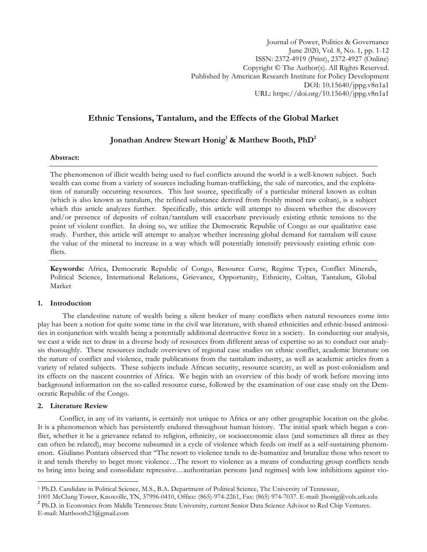# **Ethnic Tensions, Tantalum, and the Effects of the Global Market**

# **Jonathan Andrew Stewart Honig1 & Matthew Booth, PhD2**

### **Abstract:**

The phenomenon of illicit wealth being used to fuel conflicts around the world is a well-known subject. Such wealth can come from a variety of sources including human-trafficking, the sale of narcotics, and the exploitation of naturally occurring resources. This last source, specifically of a particular mineral known as coltan (which is also known as tantalum, the refined substance derived from freshly mined raw coltan), is a subject which this article analyzes further. Specifically, this article will attempt to discern whether the discovery and/or presence of deposits of coltan/tantalum will exacerbate previously existing ethnic tensions to the point of violent conflict. In doing so, we utilize the Democratic Republic of Congo as our qualitative case study. Further, this article will attempt to analyze whether increasing global demand for tantalum will cause the value of the mineral to increase in a way which will potentially intensify previously existing ethnic conflicts.

**Keywords:** Africa, Democratic Republic of Congo, Resource Curse, Regime Types, Conflict Minerals, Political Science, International Relations, Grievance, Opportunity, Ethnicity, Coltan, Tantalum, Global Market

## **1. Introduction**

The clandestine nature of wealth being a silent broker of many conflicts when natural resources come into play has been a notion for quite some time in the civil war literature, with shared ethnicities and ethnic-based animosities in conjunction with wealth being a potentially additional destructive force in a society. In conducting our analysis, we cast a wide net to draw in a diverse body of resources from different areas of expertise so as to conduct our analysis thoroughly. These resources include overviews of regional case studies on ethnic conflict, academic literature on the nature of conflict and violence, trade publications from the tantalum industry, as well as academic articles from a variety of related subjects. These subjects include African security, resource scarcity, as well as post-colonialism and its effects on the nascent countries of Africa. We begin with an overview of this body of work before moving into background information on the so-called resource curse, followed by the examination of our case study on the Democratic Republic of the Congo.

## **2. Literature Review**

 $\overline{a}$ 

Conflict, in any of its variants, is certainly not unique to Africa or any other geographic location on the globe. It is a phenomenon which has persistently endured throughout human history. The initial spark which began a conflict, whether it be a grievance related to religion, ethnicity, or socioeconomic class (and sometimes all three as they can often be related), may become subsumed in a cycle of violence which feeds on itself as a self-sustaining phenomenon. Giuliano Pontara observed that "The resort to violence tends to de-humanize and brutalize those who resort to it and tends thereby to beget more violence…The resort to violence as a means of conducting group conflicts tends to bring into being and consolidate repressive…authoritarian persons [and regimes] with low inhibitions against vio-

<sup>1</sup> Ph.D. Candidate in Political Science, M.S., B.A. Department of Political Science, The University of Tennessee,

<sup>1001</sup> McClung Tower, Knoxville, TN, 37996-0410, Office: (865)-974-2261, Fax: (865) 974-7037. E-mail: Jhonig@vols.utk.edu <sup>2</sup> Ph.D. in Economics from Middle Tennessee State University, current Senior Data Science Advisor to E-mail: Mattbooth23@gmail.com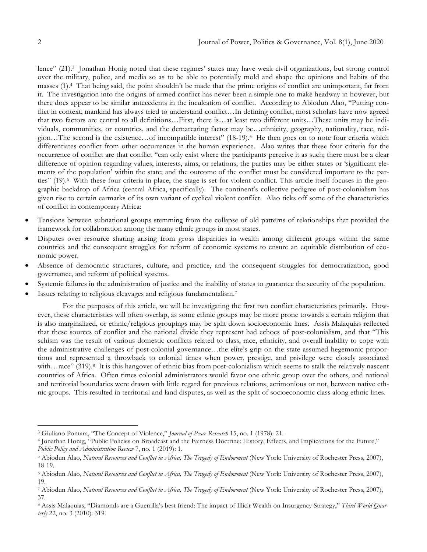lence" (21).3 Jonathan Honig noted that these regimes' states may have weak civil organizations, but strong control over the military, police, and media so as to be able to potentially mold and shape the opinions and habits of the masses (1).4 That being said, the point shouldn't be made that the prime origins of conflict are unimportant, far from it. The investigation into the origins of armed conflict has never been a simple one to make headway in however, but there does appear to be similar antecedents in the inculcation of conflict. According to Abiodun Alao, "Putting conflict in context, mankind has always tried to understand conflict…In defining conflict, most scholars have now agreed that two factors are central to all definitions…First, there is…at least two different units…These units may be individuals, communities, or countries, and the demarcating factor may be…ethnicity, geography, nationality, race, religion…The second is the existence…of incompatible interest" (18-19).5 He then goes on to note four criteria which differentiates conflict from other occurrences in the human experience. Alao writes that these four criteria for the occurrence of conflict are that conflict "can only exist where the participants perceive it as such; there must be a clear difference of opinion regarding values, interests, aims, or relations; the parties may be either states or 'significant elements of the population' within the state; and the outcome of the conflict must be considered important to the parties" (19).6 With these four criteria in place, the stage is set for violent conflict. This article itself focuses in the geographic backdrop of Africa (central Africa, specifically). The continent's collective pedigree of post-colonialism has given rise to certain earmarks of its own variant of cyclical violent conflict. Alao ticks off some of the characteristics of conflict in contemporary Africa:

- Tensions between subnational groups stemming from the collapse of old patterns of relationships that provided the framework for collaboration among the many ethnic groups in most states.
- Disputes over resource sharing arising from gross disparities in wealth among different groups within the same countries and the consequent struggles for reform of economic systems to ensure an equitable distribution of economic power.
- Absence of democratic structures, culture, and practice, and the consequent struggles for democratization, good governance, and reform of political systems.
- Systemic failures in the administration of justice and the inability of states to guarantee the security of the population.
- Issues relating to religious cleavages and religious fundamentalism.<sup>7</sup>

For the purposes of this article, we will be investigating the first two conflict characteristics primarily. However, these characteristics will often overlap, as some ethnic groups may be more prone towards a certain religion that is also marginalized, or ethnic/religious groupings may be split down socioeconomic lines. Assis Malaquias reflected that these sources of conflict and the national divide they represent had echoes of post-colonialism, and that "This schism was the result of various domestic conflicts related to class, race, ethnicity, and overall inability to cope with the administrative challenges of post-colonial governance…the elite's grip on the state assumed hegemonic proportions and represented a throwback to colonial times when power, prestige, and privilege were closely associated with...race" (319).8 It is this hangover of ethnic bias from post-colonialism which seems to stalk the relatively nascent countries of Africa. Often times colonial administrators would favor one ethnic group over the others, and national and territorial boundaries were drawn with little regard for previous relations, acrimonious or not, between native ethnic groups. This resulted in territorial and land disputes, as well as the split of socioeconomic class along ethnic lines.

<sup>3</sup> Giuliano Pontara, "The Concept of Violence," *Journal of Peace Research* 15, no. 1 (1978): 21.

<sup>4</sup> Jonathan Honig, "Public Policies on Broadcast and the Fairness Doctrine: History, Effects, and Implications for the Future," *Public Policy and Administration Review* 7, no. 1 (2019): 1.

<sup>5</sup> Abiodun Alao, *Natural Resources and Conflict in Africa, The Tragedy of Endowment* (New York: University of Rochester Press, 2007), 18-19.

<sup>6</sup> Abiodun Alao, *Natural Resources and Conflict in Africa, The Tragedy of Endowment* (New York: University of Rochester Press, 2007), 19.

<sup>7</sup> Abiodun Alao, *Natural Resources and Conflict in Africa, The Tragedy of Endowment* (New York: University of Rochester Press, 2007), 37.

<sup>8</sup> Assis Malaquias, "Diamonds are a Guerrilla's best friend: The impact of Illicit Wealth on Insurgency Strategy," *Third World Quarterly* 22, no. 3 (2010): 319.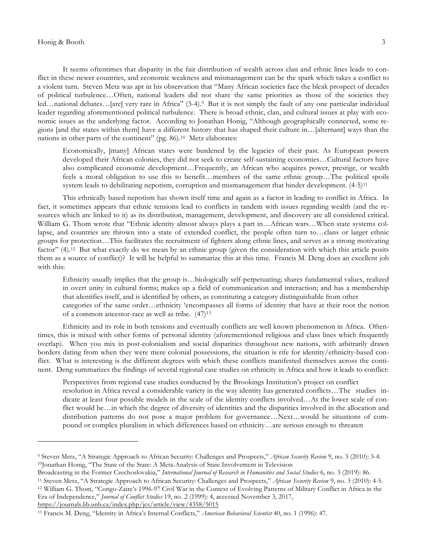#### Honig & Booth 3

 $\overline{a}$ 

It seems oftentimes that disparity in the fair distribution of wealth across clan and ethnic lines leads to conflict in these newer countries, and economic weakness and mismanagement can be the spark which takes a conflict to a violent turn. Steven Metz was apt in his observation that "Many African societies face the bleak prospect of decades of political turbulence…Often, national leaders did not share the same priorities as those of the societies they led…national debates…[are] very rare in Africa" (3-4).<sup>9</sup> But it is not simply the fault of any one particular individual leader regarding aforementioned political turbulence. There is broad ethnic, clan, and cultural issues at play with economic issues as the underlying factor. According to Jonathan Honig, "Although geographically connected, some regions [and the states within them] have a different history that has shaped their culture in…[alternant] ways than the nations in other parts of the continent" (pg. 86).10 Metz elaborates:

Economically, [many] African states were burdened by the legacies of their past. As European powers developed their African colonies, they did not seek to create self-sustaining economies…Cultural factors have also complicated economic development…Frequently, an African who acquires power, prestige, or wealth feels a moral obligation to use this to benefit…members of the same ethnic group…The political spoils system leads to debilitating nepotism, corruption and mismanagement that hinder development. (4-5)<sup>11</sup>

This ethnically based nepotism has shown itself time and again as a factor in leading to conflict in Africa. In fact, it sometimes appears that ethnic tensions lead to conflicts in tandem with issues regarding wealth (and the resources which are linked to it) as its distribution, management, development, and discovery are all considered critical. William G. Thom wrote that "Ethnic identity almost always plays a part in…African wars…When state systems collapse, and countries are thrown into a state of extended conflict, the people often turn to…clans or larger ethnic groups for protection…This facilitates the recruitment of fighters along ethnic lines, and serves as a strong motivating factor" (4).12 But what exactly do we mean by an ethnic group (given the consideration with which this article posits them as a source of conflict)? It will be helpful to summarize this at this time. Francis M. Deng does an excellent job with this:

Ethnicity usually implies that the group is…biologically self-perpetuating; shares fundamental values, realized in overt unity in cultural forms; makes up a field of communication and interaction; and has a membership that identifies itself, and is identified by others, as constituting a category distinguishable from other categories of the same order…ethnicity 'encompasses all forms of identity that have at their root the notion of a common ancestor-race as well as tribe. (47)13

Ethnicity and its role in both tensions and eventually conflicts are well known phenomenon in Africa. Oftentimes, this is mixed with other forms of personal identity (aforementioned religious and class lines which frequently overlap). When you mix in post-colonialism and social disparities throughout new nations, with arbitrarily drawn borders dating from when they were mere colonial possessions, the situation is rife for identity/ethnicity-based conflict. What is interesting is the different degrees with which these conflicts manifested themselves across the continent. Deng summarizes the findings of several regional case studies on ethnicity in Africa and how it leads to conflict:

Perspectives from regional case studies conducted by the Brookings Institution's project on conflict resolution in Africa reveal a considerable variety in the way identity has generated conflicts…The studies indicate at least four possible models in the scale of the identity conflicts involved…At the lower scale of conflict would be…in which the degree of diversity of identities and the disparities involved in the allocation and distribution patterns do not pose a major problem for governance…Next…would be situations of compound or complex pluralism in which differences based on ethnicity…are serious enough to threaten

<sup>9</sup> Steven Metz, "A Strategic Approach to African Security: Challenges and Prospects," *African Security Review* 9, no. 3 (2010): 3-4. <sup>10</sup>Jonathan Honig, "The State of the State: A Meta-Analysis of State Involvement in Television

Broadcasting in the Former Czechoslovakia," *International Journal of Research in Humanities and Social Studies* 6, no. 3 (2019): 86.

<sup>11</sup> Steven Metz, "A Strategic Approach to African Security: Challenges and Prospects," *African Security Review* 9, no. 3 (2010): 4-5. <sup>12</sup> William G. Thom, "Congo-Zaire's 1996-97 Civil War in the Context of Evolving Patterns of Military Conflict in Africa in the Era of Independence," *Journal of Conflict Studies* 19, no. 2 (1999): 4, accessed November 3, 2017, https://journals.lib.unb.ca/index.php/jcs/article/view/4358/5015

<sup>13</sup> Francis M. Deng, "Identity in Africa's Internal Conflicts," *American Behavioral Scientist* 40, no. 1 (1996): 47.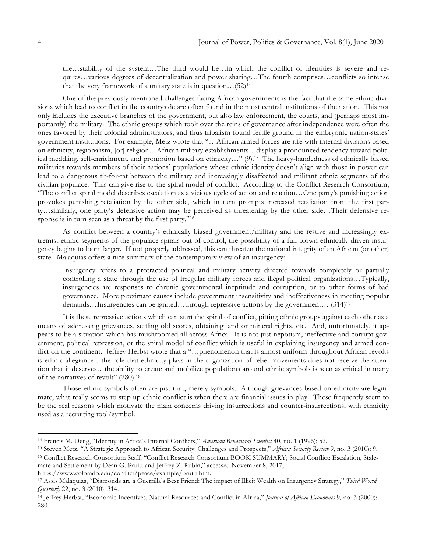the…stability of the system…The third would be…in which the conflict of identities is severe and requires…various degrees of decentralization and power sharing…The fourth comprises…conflicts so intense that the very framework of a unitary state is in question... $(52)^{14}$ 

One of the previously mentioned challenges facing African governments is the fact that the same ethnic divisions which lead to conflict in the countryside are often found in the most central institutions of the nation. This not only includes the executive branches of the government, but also law enforcement, the courts, and (perhaps most importantly) the military. The ethnic groups which took over the reins of governance after independence were often the ones favored by their colonial administrators, and thus tribalism found fertile ground in the embryonic nation-states' government institutions. For example, Metz wrote that "…African armed forces are rife with internal divisions based on ethnicity, regionalism, [or] religion…African military establishments…display a pronounced tendency toward political meddling, self-enrichment, and promotion based on ethnicity…" (9).15 The heavy-handedness of ethnically biased militaries towards members of their nations' populations whose ethnic identity doesn't align with those in power can lead to a dangerous tit-for-tat between the military and increasingly disaffected and militant ethnic segments of the civilian populace. This can give rise to the spiral model of conflict. According to the Conflict Research Consortium, "The conflict spiral model describes escalation as a vicious cycle of action and reaction…One party's punishing action provokes punishing retaliation by the other side, which in turn prompts increased retaliation from the first party…similarly, one party's defensive action may be perceived as threatening by the other side…Their defensive response is in turn seen as a threat by the first party."<sup>16</sup>

As conflict between a country's ethnically biased government/military and the restive and increasingly extremist ethnic segments of the populace spirals out of control, the possibility of a full-blown ethnically driven insurgency begins to loom larger. If not properly addressed, this can threaten the national integrity of an African (or other) state. Malaquias offers a nice summary of the contemporary view of an insurgency:

Insurgency refers to a protracted political and military activity directed towards completely or partially controlling a state through the use of irregular military forces and illegal political organizations…Typically, insurgencies are responses to chronic governmental ineptitude and corruption, or to other forms of bad governance. More proximate causes include government insensitivity and ineffectiveness in meeting popular demands…Insurgencies can be ignited…through repressive actions by the government… (314)<sup>17</sup>

It is these repressive actions which can start the spiral of conflict, pitting ethnic groups against each other as a means of addressing grievances, settling old scores, obtaining land or mineral rights, etc. And, unfortunately, it appears to be a situation which has mushroomed all across Africa. It is not just nepotism, ineffective and corrupt government, political repression, or the spiral model of conflict which is useful in explaining insurgency and armed conflict on the continent. Jeffrey Herbst wrote that a "...phenomenon that is almost uniform throughout African revolts is ethnic allegiance…the role that ethnicity plays in the organization of rebel movements does not receive the attention that it deserves…the ability to create and mobilize populations around ethnic symbols is seen as critical in many of the narratives of revolt" (280).18

Those ethnic symbols often are just that, merely symbols. Although grievances based on ethnicity are legitimate, what really seems to step up ethnic conflict is when there are financial issues in play. These frequently seem to be the real reasons which motivate the main concerns driving insurrections and counter-insurrections, with ethnicity used as a recruiting tool/symbol.

- <sup>15</sup> Steven Metz, "A Strategic Approach to African Security: Challenges and Prospects," *African Security Review* 9, no. 3 (2010): 9.
- <sup>16</sup> Conflict Research Consortium Staff, "Conflict Research Consortium BOOK SUMMARY; Social Conflict: Escalation, Stalemate and Settlement by Dean G. Pruitt and Jeffrey Z. Rubin," accessed November 8, 2017, https://www.colorado.edu/conflict/peace/example/pruitt.htm.

<sup>14</sup> Francis M. Deng, "Identity in Africa's Internal Conflicts," *American Behavioral Scientist* 40, no. 1 (1996): 52.

<sup>17</sup> Assis Malaquias, "Diamonds are a Guerrilla's Best Friend: The impact of Illicit Wealth on Insurgency Strategy," *Third World Quarterly* 22, no. 3 (2010): 314.

<sup>18</sup> Jeffrey Herbst, "Economic Incentives, Natural Resources and Conflict in Africa," *Journal of African Economies* 9, no. 3 (2000): 280.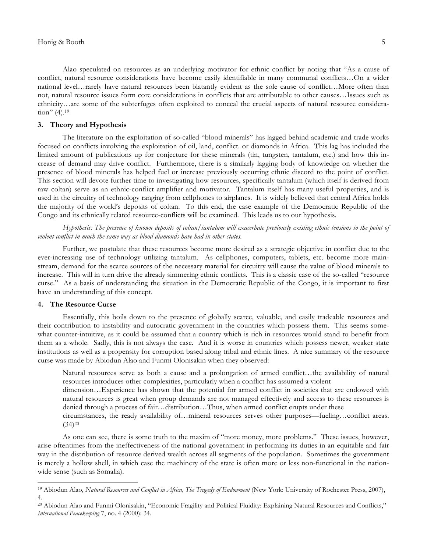Alao speculated on resources as an underlying motivator for ethnic conflict by noting that "As a cause of conflict, natural resource considerations have become easily identifiable in many communal conflicts…On a wider national level…rarely have natural resources been blatantly evident as the sole cause of conflict…More often than not, natural resource issues form core considerations in conflicts that are attributable to other causes…Issues such as ethnicity…are some of the subterfuges often exploited to conceal the crucial aspects of natural resource consideration" (4).<sup>19</sup>

## **3. Theory and Hypothesis**

The literature on the exploitation of so-called "blood minerals" has lagged behind academic and trade works focused on conflicts involving the exploitation of oil, land, conflict. or diamonds in Africa. This lag has included the limited amount of publications up for conjecture for these minerals (tin, tungsten, tantalum, etc.) and how this increase of demand may drive conflict. Furthermore, there is a similarly lagging body of knowledge on whether the presence of blood minerals has helped fuel or increase previously occurring ethnic discord to the point of conflict. This section will devote further time to investigating how resources, specifically tantalum (which itself is derived from raw coltan) serve as an ethnic-conflict amplifier and motivator. Tantalum itself has many useful properties, and is used in the circuitry of technology ranging from cellphones to airplanes. It is widely believed that central Africa holds the majority of the world's deposits of coltan. To this end, the case example of the Democratic Republic of the Congo and its ethnically related resource-conflicts will be examined. This leads us to our hypothesis.

Hypothesis: The presence of known deposits of coltan/tantalum will exacerbate previously existing ethnic tensions to the point of *violent conflict in much the same way as blood diamonds have had in other states.*

Further, we postulate that these resources become more desired as a strategic objective in conflict due to the ever-increasing use of technology utilizing tantalum. As cellphones, computers, tablets, etc. become more mainstream, demand for the scarce sources of the necessary material for circuitry will cause the value of blood minerals to increase. This will in turn drive the already simmering ethnic conflicts. This is a classic case of the so-called "resource curse." As a basis of understanding the situation in the Democratic Republic of the Congo, it is important to first have an understanding of this concept.

#### **4. The Resource Curse**

 $\overline{a}$ 

Essentially, this boils down to the presence of globally scarce, valuable, and easily tradeable resources and their contribution to instability and autocratic government in the countries which possess them. This seems somewhat counter-intuitive, as it could be assumed that a country which is rich in resources would stand to benefit from them as a whole. Sadly, this is not always the case. And it is worse in countries which possess newer, weaker state institutions as well as a propensity for corruption based along tribal and ethnic lines. A nice summary of the resource curse was made by Abiodun Alao and Funmi Olonisakin when they observed:

Natural resources serve as both a cause and a prolongation of armed conflict…the availability of natural resources introduces other complexities, particularly when a conflict has assumed a violent

dimension…Experience has shown that the potential for armed conflict in societies that are endowed with natural resources is great when group demands are not managed effectively and access to these resources is denied through a process of fair…distribution…Thus, when armed conflict erupts under these

circumstances, the ready availability of…mineral resources serves other purposes—fueling…conflict areas.  $(34)^{20}$ 

As one can see, there is some truth to the maxim of "more money, more problems." These issues, however, arise oftentimes from the ineffectiveness of the national government in performing its duties in an equitable and fair way in the distribution of resource derived wealth across all segments of the population. Sometimes the government is merely a hollow shell, in which case the machinery of the state is often more or less non-functional in the nationwide sense (such as Somalia).

<sup>&</sup>lt;sup>19</sup> Abiodun Alao, *Natural Resources and Conflict in Africa*, The Tragedy of Endowment (New York: University of Rochester Press, 2007), 4.

<sup>20</sup> Abiodun Alao and Funmi Olonisakin, "Economic Fragility and Political Fluidity: Explaining Natural Resources and Conflicts," *International Peacekeeping* 7, no. 4 (2000): 34.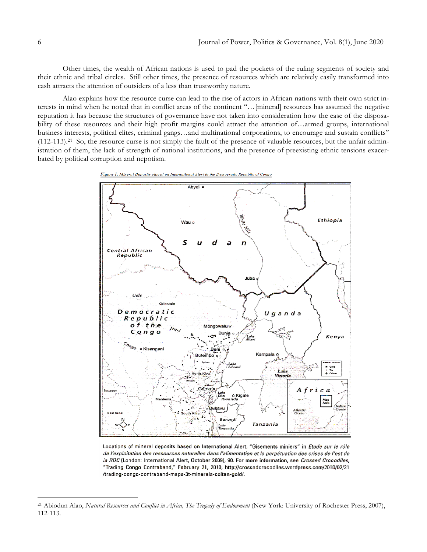Other times, the wealth of African nations is used to pad the pockets of the ruling segments of society and their ethnic and tribal circles. Still other times, the presence of resources which are relatively easily transformed into cash attracts the attention of outsiders of a less than trustworthy nature.

Alao explains how the resource curse can lead to the rise of actors in African nations with their own strict interests in mind when he noted that in conflict areas of the continent "…[mineral] resources has assumed the negative reputation it has because the structures of governance have not taken into consideration how the ease of the disposability of these resources and their high profit margins could attract the attention of…armed groups, international business interests, political elites, criminal gangs…and multinational corporations, to encourage and sustain conflicts"  $(112-113).^{21}$  So, the resource curse is not simply the fault of the presence of valuable resources, but the unfair administration of them, the lack of strength of national institutions, and the presence of preexisting ethnic tensions exacerbated by political corruption and nepotism.





Locations of mineral deposits based on International Alert, "Gisements miniers" in Etude sur le rôle de l'exploitation des ressources naturelles dans l'alimentation et la perpétuation des crises de l'est de la RDC (London: International Alert, October 2009), 90. For more information, see Crossed Crocodiles, "Trading Congo Contraband," February 21, 2010, http://crossedcrocodiles.wordpress.com/2010/02/21 /trading-congo-contraband-maps-3t-minerals-coltan-gold/.

<sup>&</sup>lt;sup>21</sup> Abiodun Alao, *Natural Resources and Conflict in Africa*, *The Tragedy of Endowment* (New York: University of Rochester Press, 2007), 112-113.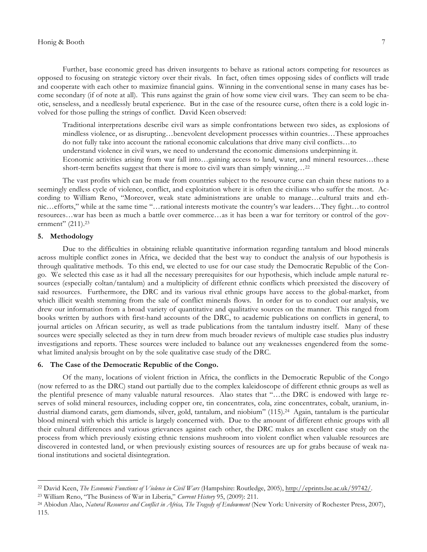#### Honig & Booth 7

Further, base economic greed has driven insurgents to behave as rational actors competing for resources as opposed to focusing on strategic victory over their rivals. In fact, often times opposing sides of conflicts will trade and cooperate with each other to maximize financial gains. Winning in the conventional sense in many cases has become secondary (if of note at all). This runs against the grain of how some view civil wars. They can seem to be chaotic, senseless, and a needlessly brutal experience. But in the case of the resource curse, often there is a cold logic involved for those pulling the strings of conflict. David Keen observed:

Traditional interpretations describe civil wars as simple confrontations between two sides, as explosions of mindless violence, or as disrupting…benevolent development processes within countries…These approaches do not fully take into account the rational economic calculations that drive many civil conflicts…to

understand violence in civil wars, we need to understand the economic dimensions underpinning it.

Economic activities arising from war fall into…gaining access to land, water, and mineral resources…these short-term benefits suggest that there is more to civil wars than simply winning…22

The vast profits which can be made from countries subject to the resource curse can chain these nations to a seemingly endless cycle of violence, conflict, and exploitation where it is often the civilians who suffer the most. According to William Reno, "Moreover, weak state administrations are unable to manage…cultural traits and ethnic…efforts," while at the same time "…rational interests motivate the country's war leaders…They fight…to control resources…war has been as much a battle over commerce…as it has been a war for territory or control of the government" (211).<sup>23</sup>

#### **5. Methodology**

 $\overline{a}$ 

Due to the difficulties in obtaining reliable quantitative information regarding tantalum and blood minerals across multiple conflict zones in Africa, we decided that the best way to conduct the analysis of our hypothesis is through qualitative methods. To this end, we elected to use for our case study the Democratic Republic of the Congo. We selected this case as it had all the necessary prerequisites for our hypothesis, which include ample natural resources (especially coltan/tantalum) and a multiplicity of different ethnic conflicts which preexisted the discovery of said resources. Furthermore, the DRC and its various rival ethnic groups have access to the global-market, from which illicit wealth stemming from the sale of conflict minerals flows. In order for us to conduct our analysis, we drew our information from a broad variety of quantitative and qualitative sources on the manner. This ranged from books written by authors with first-hand accounts of the DRC, to academic publications on conflicts in general, to journal articles on African security, as well as trade publications from the tantalum industry itself. Many of these sources were specially selected as they in turn drew from much broader reviews of multiple case studies plus industry investigations and reports. These sources were included to balance out any weaknesses engendered from the somewhat limited analysis brought on by the sole qualitative case study of the DRC.

### **6. The Case of the Democratic Republic of the Congo.**

Of the many, locations of violent friction in Africa, the conflicts in the Democratic Republic of the Congo (now referred to as the DRC) stand out partially due to the complex kaleidoscope of different ethnic groups as well as the plentiful presence of many valuable natural resources. Alao states that "…the DRC is endowed with large reserves of solid mineral resources, including copper ore, tin concentrates, cola, zinc concentrates, cobalt, uranium, industrial diamond carats, gem diamonds, silver, gold, tantalum, and niobium" (115).<sup>24</sup> Again, tantalum is the particular blood mineral with which this article is largely concerned with. Due to the amount of different ethnic groups with all their cultural differences and various grievances against each other, the DRC makes an excellent case study on the process from which previously existing ethnic tensions mushroom into violent conflict when valuable resources are discovered in contested land, or when previously existing sources of resources are up for grabs because of weak national institutions and societal disintegration.

<sup>22</sup> David Keen, *The Economic Functions of Violence in Civil Wars* (Hampshire: Routledge, 2005), http://eprints.lse.ac.uk/59742/.

<sup>23</sup> William Reno, "The Business of War in Liberia," *Current History* 95, (2009): 211.

<sup>&</sup>lt;sup>24</sup> Abiodun Alao, *Natural Resources and Conflict in Africa*, The Tragedy of Endowment (New York: University of Rochester Press, 2007), 115.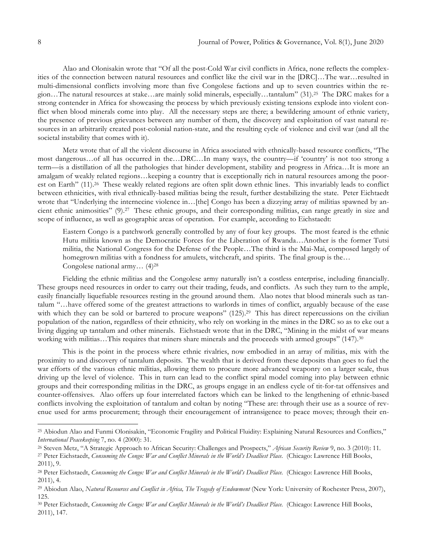Alao and Olonisakin wrote that "Of all the post-Cold War civil conflicts in Africa, none reflects the complexities of the connection between natural resources and conflict like the civil war in the [DRC]…The war…resulted in multi-dimensional conflicts involving more than five Congolese factions and up to seven countries within the region…The natural resources at stake…are mainly solid minerals, especially…tantalum" (31).25 The DRC makes for a strong contender in Africa for showcasing the process by which previously existing tensions explode into violent conflict when blood minerals come into play. All the necessary steps are there; a bewildering amount of ethnic variety, the presence of previous grievances between any number of them, the discovery and exploitation of vast natural resources in an arbitrarily created post-colonial nation-state, and the resulting cycle of violence and civil war (and all the societal instability that comes with it).

Metz wrote that of all the violent discourse in Africa associated with ethnically-based resource conflicts, "The most dangerous…of all has occurred in the…DRC…In many ways, the country—if 'country' is not too strong a term—is a distillation of all the pathologies that hinder development, stability and progress in Africa…It is more an amalgam of weakly related regions…keeping a country that is exceptionally rich in natural resources among the poorest on Earth" (11).<sup>26</sup> These weakly related regions are often split down ethnic lines. This invariably leads to conflict between ethnicities, with rival ethnically-based militias being the result, further destabilizing the state. Peter Eichtaedt wrote that "Underlying the internecine violence in...[the] Congo has been a dizzying array of militias spawned by ancient ethnic animosities" (9).27 These ethnic groups, and their corresponding militias, can range greatly in size and scope of influence, as well as geographic areas of operation. For example, according to Eichstaedt:

Eastern Congo is a patchwork generally controlled by any of four key groups. The most feared is the ethnic Hutu militia known as the Democratic Forces for the Liberation of Rwanda…Another is the former Tutsi militia, the National Congress for the Defense of the People…The third is the Mai-Mai, composed largely of homegrown militias with a fondness for amulets, witchcraft, and spirits. The final group is the... Congolese national army… (4)28

Fielding the ethnic militias and the Congolese army naturally isn't a costless enterprise, including financially. These groups need resources in order to carry out their trading, feuds, and conflicts. As such they turn to the ample, easily financially liquefiable resources resting in the ground around them. Alao notes that blood minerals such as tantalum "…have offered some of the greatest attractions to warlords in times of conflict, arguably because of the ease with which they can be sold or bartered to procure weapons" (125).<sup>29</sup> This has direct repercussions on the civilian population of the nation, regardless of their ethnicity, who rely on working in the mines in the DRC so as to eke out a living digging up tantalum and other minerals. Eichstaedt wrote that in the DRC, "Mining in the midst of war means working with militias…This requires that miners share minerals and the proceeds with armed groups" (147).<sup>30</sup>

This is the point in the process where ethnic rivalries, now embodied in an array of militias, mix with the proximity to and discovery of tantalum deposits. The wealth that is derived from these deposits than goes to fuel the war efforts of the various ethnic militias, allowing them to procure more advanced weaponry on a larger scale, thus driving up the level of violence. This in turn can lead to the conflict spiral model coming into play between ethnic groups and their corresponding militias in the DRC, as groups engage in an endless cycle of tit-for-tat offensives and counter-offensives. Alao offers up four interrelated factors which can be linked to the lengthening of ethnic-based conflicts involving the exploitation of tantalum and coltan by noting "These are: through their use as a source of revenue used for arms procurement; through their encouragement of intransigence to peace moves; through their en-

<sup>25</sup> Abiodun Alao and Funmi Olonisakin, "Economic Fragility and Political Fluidity: Explaining Natural Resources and Conflicts," *International Peacekeeping* 7, no. 4 (2000): 31.

<sup>26</sup> Steven Metz, "A Strategic Approach to African Security: Challenges and Prospects," *African Security Review* 9, no. 3 (2010): 11.

<sup>27</sup> Peter Eichstaedt, *Consuming the Congo: War and Conflict Minerals in the World's Deadliest Place*. (Chicago: Lawrence Hill Books, 2011), 9.

<sup>28</sup> Peter Eichstaedt, *Consuming the Congo: War and Conflict Minerals in the World's Deadliest Place*. (Chicago: Lawrence Hill Books, 2011), 4.

<sup>&</sup>lt;sup>29</sup> Abiodun Alao, *Natural Resources and Conflict in Africa*, The Tragedy of Endowment (New York: University of Rochester Press, 2007), 125.

<sup>30</sup> Peter Eichstaedt, *Consuming the Congo: War and Conflict Minerals in the World's Deadliest Place*. (Chicago: Lawrence Hill Books, 2011), 147.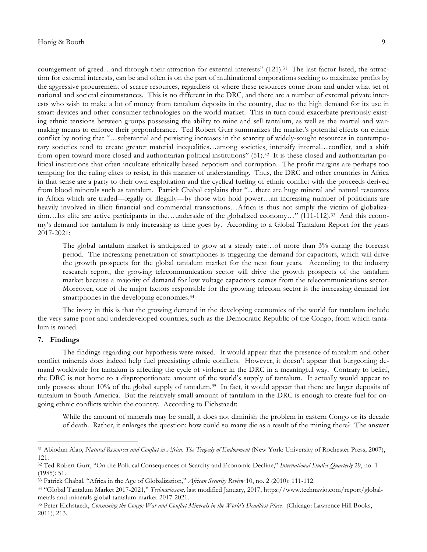couragement of greed...and through their attraction for external interests" (121).<sup>31</sup> The last factor listed, the attraction for external interests, can be and often is on the part of multinational corporations seeking to maximize profits by the aggressive procurement of scarce resources, regardless of where these resources come from and under what set of national and societal circumstances. This is no different in the DRC, and there are a number of external private interests who wish to make a lot of money from tantalum deposits in the country, due to the high demand for its use in smart-devices and other consumer technologies on the world market. This in turn could exacerbate previously existing ethnic tensions between groups possessing the ability to mine and sell tantalum, as well as the martial and warmaking means to enforce their preponderance. Ted Robert Gurr summarizes the market's potential effects on ethnic conflict by noting that "…substantial and persisting increases in the scarcity of widely-sought resources in contemporary societies tend to create greater material inequalities…among societies, intensify internal…conflict, and a shift from open toward more closed and authoritarian political institutions" (51).32 It is these closed and authoritarian political institutions that often inculcate ethnically based nepotism and corruption. The profit margins are perhaps too tempting for the ruling elites to resist, in this manner of understanding. Thus, the DRC and other countries in Africa in that sense are a party to their own exploitation and the cyclical fueling of ethnic conflict with the proceeds derived from blood minerals such as tantalum. Patrick Chabal explains that "…there are huge mineral and natural resources in Africa which are traded—legally or illegally—by those who hold power…an increasing number of politicians are heavily involved in illicit financial and commercial transactions…Africa is thus not simply the victim of globalization…Its elite are active participants in the…underside of the globalized economy…" (111-112).33 And this economy's demand for tantalum is only increasing as time goes by. According to a Global Tantalum Report for the years 2017-2021:

The global tantalum market is anticipated to grow at a steady rate…of more than 3% during the forecast period. The increasing penetration of smartphones is triggering the demand for capacitors, which will drive the growth prospects for the global tantalum market for the next four years. According to the industry research report, the growing telecommunication sector will drive the growth prospects of the tantalum market because a majority of demand for low voltage capacitors comes from the telecommunications sector. Moreover, one of the major factors responsible for the growing telecom sector is the increasing demand for smartphones in the developing economies.<sup>34</sup>

The irony in this is that the growing demand in the developing economies of the world for tantalum include the very same poor and underdeveloped countries, such as the Democratic Republic of the Congo, from which tantalum is mined.

#### **7. Findings**

 $\overline{a}$ 

The findings regarding our hypothesis were mixed. It would appear that the presence of tantalum and other conflict minerals does indeed help fuel preexisting ethnic conflicts. However, it doesn't appear that burgeoning demand worldwide for tantalum is affecting the cycle of violence in the DRC in a meaningful way. Contrary to belief, the DRC is not home to a disproportionate amount of the world's supply of tantalum. It actually would appear to only possess about 10% of the global supply of tantalum.35 In fact, it would appear that there are larger deposits of tantalum in South America. But the relatively small amount of tantalum in the DRC is enough to create fuel for ongoing ethnic conflicts within the country. According to Eichstaedt:

While the amount of minerals may be small, it does not diminish the problem in eastern Congo or its decade of death. Rather, it enlarges the question: how could so many die as a result of the mining there? The answer

<sup>&</sup>lt;sup>31</sup> Abiodun Alao, *Natural Resources and Conflict in Africa*, *The Tragedy of Endowment* (New York: University of Rochester Press, 2007), 121.

<sup>32</sup> Ted Robert Gurr, "On the Political Consequences of Scarcity and Economic Decline," *International Studies Quarterly* 29, no. 1 (1985): 51.

<sup>33</sup> Patrick Chabal, "Africa in the Age of Globalization," *African Security Review* 10, no. 2 (2010): 111-112.

<sup>34</sup> "Global Tantalum Market 2017-2021," *Technavio.com,* last modified January, 2017, https://www.technavio.com/report/globalmetals-and-minerals-global-tantalum-market-2017-2021.

<sup>35</sup> Peter Eichstaedt, *Consuming the Congo: War and Conflict Minerals in the World's Deadliest Place*. (Chicago: Lawrence Hill Books, 2011), 213.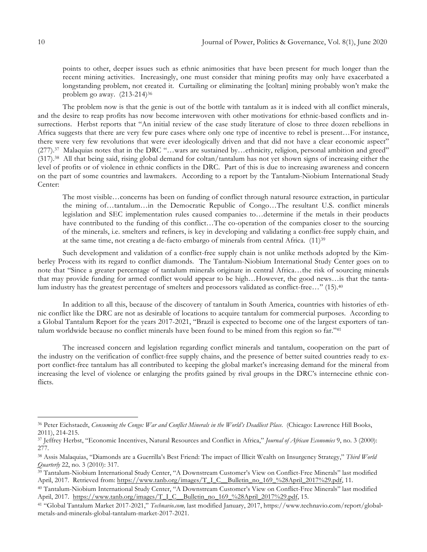points to other, deeper issues such as ethnic animosities that have been present for much longer than the recent mining activities. Increasingly, one must consider that mining profits may only have exacerbated a longstanding problem, not created it. Curtailing or eliminating the [coltan] mining probably won't make the problem go away. (213-214)36

The problem now is that the genie is out of the bottle with tantalum as it is indeed with all conflict minerals, and the desire to reap profits has now become interwoven with other motivations for ethnic-based conflicts and insurrections. Herbst reports that "An initial review of the case study literature of close to three dozen rebellions in Africa suggests that there are very few pure cases where only one type of incentive to rebel is present…For instance, there were very few revolutions that were ever ideologically driven and that did not have a clear economic aspect" (277).37 Malaquias notes that in the DRC "…wars are sustained by…ethnicity, religion, personal ambition and greed" (317).38 All that being said, rising global demand for coltan/tantalum has not yet shown signs of increasing either the level of profits or of violence in ethnic conflicts in the DRC. Part of this is due to increasing awareness and concern on the part of some countries and lawmakers. According to a report by the Tantalum-Niobium International Study Center:

The most visible…concerns has been on funding of conflict through natural resource extraction, in particular the mining of…tantalum…in the Democratic Republic of Congo…The resultant U.S. conflict minerals legislation and SEC implementation rules caused companies to…determine if the metals in their products have contributed to the funding of this conflict…The co-operation of the companies closer to the sourcing of the minerals, i.e. smelters and refiners, is key in developing and validating a conflict-free supply chain, and at the same time, not creating a de-facto embargo of minerals from central Africa. (11)39

Such development and validation of a conflict-free supply chain is not unlike methods adopted by the Kimberley Process with its regard to conflict diamonds. The Tantalum-Niobium International Study Center goes on to note that "Since a greater percentage of tantalum minerals originate in central Africa…the risk of sourcing minerals that may provide funding for armed conflict would appear to be high…However, the good news…is that the tantalum industry has the greatest percentage of smelters and processors validated as conflict-free…" (15).40

In addition to all this, because of the discovery of tantalum in South America, countries with histories of ethnic conflict like the DRC are not as desirable of locations to acquire tantalum for commercial purposes. According to a Global Tantalum Report for the years 2017-2021, "Brazil is expected to become one of the largest exporters of tantalum worldwide because no conflict minerals have been found to be mined from this region so far."41

The increased concern and legislation regarding conflict minerals and tantalum, cooperation on the part of the industry on the verification of conflict-free supply chains, and the presence of better suited countries ready to export conflict-free tantalum has all contributed to keeping the global market's increasing demand for the mineral from increasing the level of violence or enlarging the profits gained by rival groups in the DRC's internecine ethnic conflicts.

<sup>36</sup> Peter Eichstaedt, *Consuming the Congo: War and Conflict Minerals in the World's Deadliest Place*. (Chicago: Lawrence Hill Books, 2011), 214-215.

<sup>37</sup> Jeffrey Herbst, "Economic Incentives, Natural Resources and Conflict in Africa," *Journal of African Economies* 9, no. 3 (2000): 277.

<sup>38</sup> Assis Malaquias, "Diamonds are a Guerrilla's Best Friend: The impact of Illicit Wealth on Insurgency Strategy," *Third World Quarterly* 22, no. 3 (2010): 317.

<sup>39</sup> Tantalum-Niobium International Study Center, "A Downstream Customer's View on Conflict-Free Minerals" last modified April, 2017. Retrieved from: https://www.tanb.org/images/T\_I\_C\_\_Bulletin\_no\_169\_%28April\_2017%29.pdf, 11.

<sup>40</sup> Tantalum-Niobium International Study Center, "A Downstream Customer's View on Conflict-Free Minerals" last modified April, 2017. https://www.tanb.org/images/T\_I\_C\_\_Bulletin\_no\_169\_%28April\_2017%29.pdf, 15.

<sup>41</sup> "Global Tantalum Market 2017-2021," *Technavio.com,* last modified January, 2017, https://www.technavio.com/report/globalmetals-and-minerals-global-tantalum-market-2017-2021.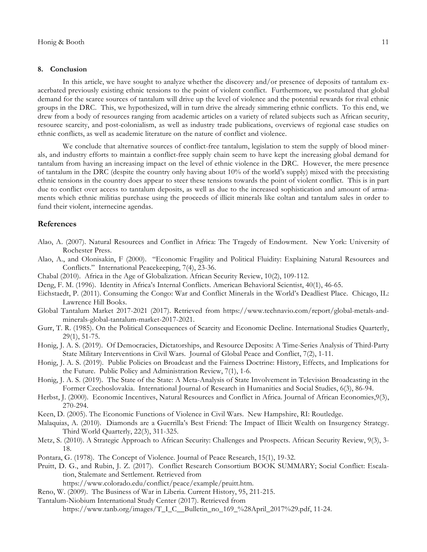#### **8. Conclusion**

In this article, we have sought to analyze whether the discovery and/or presence of deposits of tantalum exacerbated previously existing ethnic tensions to the point of violent conflict. Furthermore, we postulated that global demand for the scarce sources of tantalum will drive up the level of violence and the potential rewards for rival ethnic groups in the DRC. This, we hypothesized, will in turn drive the already simmering ethnic conflicts. To this end, we drew from a body of resources ranging from academic articles on a variety of related subjects such as African security, resource scarcity, and post-colonialism, as well as industry trade publications, overviews of regional case studies on ethnic conflicts, as well as academic literature on the nature of conflict and violence.

We conclude that alternative sources of conflict-free tantalum, legislation to stem the supply of blood minerals, and industry efforts to maintain a conflict-free supply chain seem to have kept the increasing global demand for tantalum from having an increasing impact on the level of ethnic violence in the DRC. However, the mere presence of tantalum in the DRC (despite the country only having about 10% of the world's supply) mixed with the preexisting ethnic tensions in the country does appear to steer these tensions towards the point of violent conflict. This is in part due to conflict over access to tantalum deposits, as well as due to the increased sophistication and amount of armaments which ethnic militias purchase using the proceeds of illicit minerals like coltan and tantalum sales in order to fund their violent, internecine agendas.

#### **References**

- Alao, A. (2007). Natural Resources and Conflict in Africa: The Tragedy of Endowment. New York: University of Rochester Press.
- Alao, A., and Olonisakin, F (2000). "Economic Fragility and Political Fluidity: Explaining Natural Resources and Conflicts." International Peacekeeping, 7(4), 23-36.
- Chabal (2010). Africa in the Age of Globalization. African Security Review, 10(2), 109-112.
- Deng, F. M. (1996). Identity in Africa's Internal Conflicts. American Behavioral Scientist, 40(1), 46-65.
- Eichstaedt, P. (2011). Consuming the Congo: War and Conflict Minerals in the World's Deadliest Place. Chicago, IL: Lawrence Hill Books.
- Global Tantalum Market 2017-2021 (2017). Retrieved from https://www.technavio.com/report/global-metals-andminerals-global-tantalum-market-2017-2021.
- Gurr, T. R. (1985). On the Political Consequences of Scarcity and Economic Decline. International Studies Quarterly, 29(1), 51-75.
- Honig, J. A. S. (2019). Of Democracies, Dictatorships, and Resource Deposits: A Time-Series Analysis of Third-Party State Military Interventions in Civil Wars. Journal of Global Peace and Conflict, 7(2), 1-11.
- Honig, J. A. S. (2019). Public Policies on Broadcast and the Fairness Doctrine: History, Effects, and Implications for the Future. Public Policy and Administration Review, 7(1), 1-6.
- Honig, J. A. S. (2019). The State of the State: A Meta-Analysis of State Involvement in Television Broadcasting in the Former Czechoslovakia. International Journal of Research in Humanities and Social Studies, 6(3), 86-94.
- Herbst, J. (2000). Economic Incentives, Natural Resources and Conflict in Africa. Journal of African Economies,9(3), 270-294.
- Keen, D. (2005). The Economic Functions of Violence in Civil Wars. New Hampshire, RI: Routledge.
- Malaquias, A. (2010). Diamonds are a Guerrilla's Best Friend: The Impact of Illicit Wealth on Insurgency Strategy. Third World Quarterly, 22(3), 311-325.
- Metz, S. (2010). A Strategic Approach to African Security: Challenges and Prospects. African Security Review, 9(3), 3- 18.
- Pontara, G. (1978). The Concept of Violence. Journal of Peace Research, 15(1), 19-32.
- Pruitt, D. G., and Rubin, J. Z. (2017). Conflict Research Consortium BOOK SUMMARY; Social Conflict: Escalation, Stalemate and Settlement. Retrieved from
	- https://www.colorado.edu/conflict/peace/example/pruitt.htm.
- Reno, W. (2009). The Business of War in Liberia. Current History, 95, 211-215.
- Tantalum-Niobium International Study Center (2017). Retrieved from
	- https://www.tanb.org/images/T\_I\_C\_\_Bulletin\_no\_169\_%28April\_2017%29.pdf, 11-24.